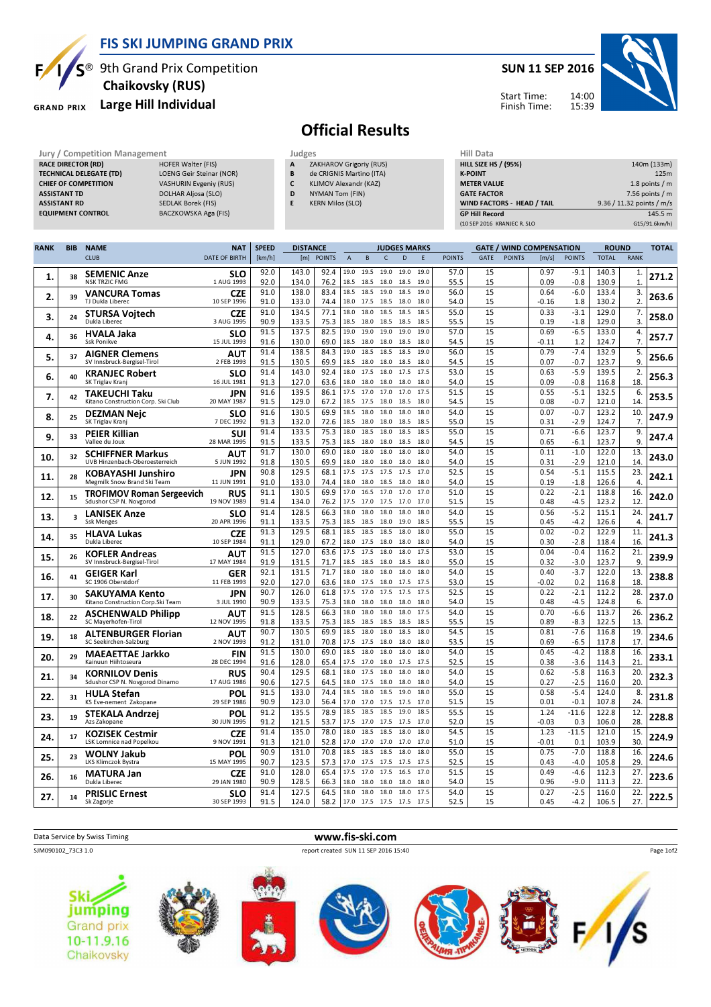

## FIS SKI JUMPING GRAND PRIX

 $S^{\circledast}$  9th Grand Prix Competition Chaikovsky (RUS)

### **GRAND PRIX**

Chaikovsky

# Large Hill Individual

## SUN 11 SEP 2016



Start Time: Finish Time:

# Official Results

- **ZAKHAROV Grigoriy (RUS)** B de CRIGNIS Martino (ITA)
- C KLIMOV Alexandr (KAZ)
- D NYMAN Tom (FIN)
- E KERN Milos (SLO)

| Jury / Competition Management  |                               |   | Judges                   | Hill Data                   |                           |  |  |  |
|--------------------------------|-------------------------------|---|--------------------------|-----------------------------|---------------------------|--|--|--|
| <b>RACE DIRECTOR (RD)</b>      | HOFER Walter (FIS)            | A | ZAKHAROV Grigoriy (RUS)  | <b>HILL SIZE HS / (95%)</b> | 140m (133m)               |  |  |  |
| <b>TECHNICAL DELEGATE (TD)</b> | LOENG Geir Steinar (NOR)      |   | de CRIGNIS Martino (ITA) | <b>K-POINT</b>              | 125m                      |  |  |  |
| <b>CHIEF OF COMPETITION</b>    | <b>VASHURIN Evgeniy (RUS)</b> |   | KLIMOV Alexandr (KAZ)    | <b>METER VALUE</b>          | 1.8 points $/m$           |  |  |  |
| <b>ASSISTANT TD</b>            | DOLHAR Aljosa (SLO)           | D | NYMAN Tom (FIN)          | <b>GATE FACTOR</b>          | $7.56$ points / m         |  |  |  |
| <b>ASSISTANT RD</b>            | SEDLAK Borek (FIS)            |   | <b>KERN Milos (SLO)</b>  | WIND FACTORS - HEAD / TAIL  | 9.36 / 11.32 points / m/s |  |  |  |
| <b>EQUIPMENT CONTROL</b>       | BACZKOWSKA Aga (FIS)          |   |                          | <b>GP Hill Record</b>       | 145.5 m                   |  |  |  |
|                                |                               |   |                          | (10 SEP 2016 KRANJEC R. SLO | G15/91.6km/h)             |  |  |  |

| <b>RANK</b> | <b>BIB</b> | <b>NAME</b>                                                 | <b>NAT</b>                | <b>SPEED</b> | <b>DISTANCE</b> |               |                |                             |              | <b>JUDGES MARKS</b> |              |               |          |               |                 | <b>GATE / WIND COMPENSATION</b> |                | <b>ROUND</b>          | <b>TOTAL</b> |
|-------------|------------|-------------------------------------------------------------|---------------------------|--------------|-----------------|---------------|----------------|-----------------------------|--------------|---------------------|--------------|---------------|----------|---------------|-----------------|---------------------------------|----------------|-----------------------|--------------|
|             |            | <b>CLUB</b>                                                 | <b>DATE OF BIRTH</b>      | [km/h]       | [m]             | <b>POINTS</b> | $\overline{A}$ | B                           | $\mathsf{C}$ | D                   | E            | <b>POINTS</b> | GATE     | <b>POINTS</b> | [m/s]           | <b>POINTS</b>                   | <b>TOTAL</b>   | <b>RANK</b>           |              |
| 1.          | 38         | <b>SEMENIC Anze</b><br><b>NSK TRZIC FMG</b>                 | <b>SLO</b><br>1 AUG 1993  | 92.0<br>92.0 | 143.0<br>134.0  | 92.4<br>76.2  | 19.0<br>18.5   | 19.5<br>18.5                | 19.0<br>18.0 | 19.0<br>18.5        | 19.0<br>19.0 | 57.0<br>55.5  | 15<br>15 |               | 0.97<br>0.09    | $-9.1$<br>$-0.8$                | 140.3<br>130.9 | 1.<br>$\mathbf{1}$    | 271.2        |
| 2.          | 39         | <b>VANCURA Tomas</b><br>TJ Dukla Liberec                    | CZE<br>10 SEP 1996        | 91.0<br>91.0 | 138.0<br>133.0  | 83.4<br>74.4  | 18.5<br>18.0   | 18.5<br>17.5                | 19.0<br>18.5 | 18.5<br>18.0        | 19.0<br>18.0 | 56.0<br>54.0  | 15<br>15 |               | 0.64<br>-0.16   | $-6.0$<br>1.8                   | 133.4<br>130.2 | 3.<br>2.              | 263.6        |
|             |            | STURSA Vojtech                                              | <b>CZE</b>                | 91.0         | 134.5           | 77.1          | 18.0           | 18.0                        | 18.5         | 18.5                | 18.5         | 55.0          | 15       |               | 0.33            | $-3.1$                          | 129.0          | 7.                    |              |
| 3.          | 24         | Dukla Liberec                                               | 3 AUG 1995                | 90.9         | 133.5           | 75.3          |                | 18.5 18.0 18.5              |              | 18.5                | 18.5         | 55.5          | 15       |               | 0.19            | $-1.8$                          | 129.0          | 3.                    | 258.0        |
| 4.          | 36         | <b>HVALA Jaka</b><br><b>Ssk Ponikve</b>                     | <b>SLO</b><br>15 JUL 1993 | 91.5<br>91.6 | 137.5<br>130.0  | 82.5<br>69.0  | 19.0<br>18.5   | 19.0<br>18.0                | 19.0<br>18.0 | 19.0<br>18.5        | 19.0<br>18.0 | 57.0<br>54.5  | 15<br>15 |               | 0.69<br>$-0.11$ | $-6.5$<br>1.2                   | 133.0<br>124.7 | 4.<br>7.              | 257.7        |
| 5.          | 37         | <b>AIGNER Clemens</b><br>SV Innsbruck-Bergisel-Tirol        | AUT<br>2 FEB 1993         | 91.4<br>91.5 | 138.5<br>130.5  | 84.3<br>69.9  | 19.0<br>18.5   | 18.5<br>18.0                | 18.5<br>18.0 | 18.5<br>18.5        | 19.0<br>18.0 | 56.0<br>54.5  | 15<br>15 |               | 0.79<br>0.07    | $-7.4$<br>$-0.7$                | 132.9<br>123.7 | 5.<br>9.              | 256.6        |
| 6.          | 40         | <b>KRANJEC Robert</b><br>SK Triglav Kranj                   | <b>SLO</b><br>16 JUL 1981 | 91.4<br>91.3 | 143.0<br>127.0  | 92.4<br>63.6  | 18.0<br>18.0   | 17.5<br>18.0                | 18.0<br>18.0 | 17.5<br>18.0        | 17.5<br>18.0 | 53.0<br>54.0  | 15<br>15 |               | 0.63<br>0.09    | $-5.9$<br>$-0.8$                | 139.5<br>116.8 | 2.<br>18.             | 256.3        |
| 7.          | 42         | <b>TAKEUCHI Taku</b><br>Kitano Construction Corp. Ski Club  | JPN<br>20 MAY 1987        | 91.6<br>91.5 | 139.5<br>129.0  | 86.1<br>67.2  | 17.5<br>18.5   | 17.0<br>17.5                | 17.0<br>18.0 | 17.0<br>18.5        | 17.5<br>18.0 | 51.5<br>54.5  | 15<br>15 |               | 0.55<br>0.08    | $-5.1$<br>$-0.7$                | 132.5<br>121.0 | 6.<br>14.             | 253.5        |
|             |            | <b>DEZMAN Nejc</b>                                          | <b>SLO</b>                | 91.6         | 130.5           | 69.9          |                | 18.5 18.0                   | 18.0         | 18.0                | 18.0         | 54.0          | 15       |               | 0.07            | $-0.7$                          | 123.2          | 10.                   |              |
| 8.          | 25         | SK Triglav Kranj                                            | 7 DEC 1992                | 91.3         | 132.0           | 72.6          | 18.5           | 18.0                        | 18.0         | 18.5                | 18.5         | 55.0          | 15       |               | 0.31            | $-2.9$                          | 124.7          | 7.                    | 247.9        |
| 9.          | 33         | <b>PEIER Killian</b>                                        | SUI                       | 91.4         | 133.5           | 75.3          | 18.0           | 18.5                        | 18.0         | 18.5                | 18.5         | 55.0          | 15       |               | 0.71            | $-6.6$                          | 123.7          | 9.                    | 247.4        |
|             |            | Vallee du Joux                                              | 28 MAR 1995               | 91.5<br>91.7 | 133.5<br>130.0  | 75.3<br>69.0  | 18.5<br>18.0   | 18.0<br>18.0                | 18.0<br>18.0 | 18.5<br>18.0        | 18.0<br>18.0 | 54.5<br>54.0  | 15<br>15 |               | 0.65<br>0.11    | $-6.1$<br>$-1.0$                | 123.7<br>122.0 | 9<br>13.              |              |
| 10.         | 32         | <b>SCHIFFNER Markus</b><br>UVB Hinzenbach-Oberoesterreich   | AUT<br>5 JUN 1992         | 91.8         | 130.5           | 69.9          | 18.0           | 18.0                        | 18.0         | 18.0                | 18.0         | 54.0          | 15       |               | 0.31            | $-2.9$                          | 121.0          | 14.                   | 243.0        |
|             |            | <b>KOBAYASHI Junshiro</b>                                   | JPN                       | 90.8         | 129.5           | 68.1          | 17.5           | 17.5                        | 17.5         | 17.5                | 17.0         | 52.5          | 15       |               | 0.54            | $-5.1$                          | 115.5          | 23.                   |              |
| 11.         | 28         | Megmilk Snow Brand Ski Team                                 | 11 JUN 1991               | 91.0         | 133.0           | 74.4          | 18.0           | 18.0                        | 18.5         | 18.0                | 18.0         | 54.0          | 15       |               | 0.19            | $-1.8$                          | 126.6          | $\overline{4}$ .      | 242.1        |
| 12.         | 15         | <b>TROFIMOV Roman Sergeevich</b><br>Sdushor CSP N. Novgorod | RUS<br>19 NOV 1989        | 91.1<br>91.4 | 130.5<br>134.0  | 69.9<br>76.2  | 17.0           | 16.5<br>17.5 17.0 17.5      | 17.0         | 17.0<br>17.0        | 17.0<br>17.0 | 51.0<br>51.5  | 15<br>15 |               | 0.22<br>0.48    | $-2.1$<br>$-4.5$                | 118.8<br>123.2 | 16.<br>12             | 242.0        |
| 13.         | 3          | <b>LANISEK Anze</b>                                         | <b>SLO</b>                | 91.4         | 128.5           | 66.3          | 18.0           | 18.0                        | 18.0         | 18.0                | 18.0         | 54.0          | 15       |               | 0.56            | $-5.2$                          | 115.1          | 24.                   | 241.7        |
|             |            | <b>Ssk Menges</b>                                           | 20 APR 1996               | 91.1<br>91.3 | 133.5<br>129.5  | 75.3<br>68.1  | 18.5<br>18.5   | 18.5<br>18.5                | 18.0<br>18.5 | 19.0<br>18.0        | 18.5<br>18.0 | 55.5<br>55.0  | 15<br>15 |               | 0.45<br>0.02    | $-4.2$<br>$-0.2$                | 126.6<br>122.9 | $\overline{4}$<br>11. |              |
| 14.         | 35         | <b>HLAVA Lukas</b><br>Dukla Liberec                         | CZE<br>10 SEP 1984        | 91.1         | 129.0           | 67.2          | 18.0           | 17.5                        | 18.0         | 18.0                | 18.0         | 54.0          | 15       |               | 0.30            | $-2.8$                          | 118.4          | 16.                   | 241.3        |
| 15.         | 26         | <b>KOFLER Andreas</b>                                       | AUT                       | 91.5         | 127.0           | 63.6          |                | 17.5 17.5                   | 18.0         | 18.0                | 17.5         | 53.0          | 15       |               | 0.04            | $-0.4$                          | 116.2          | 21.                   | 239.9        |
|             |            | SV Innsbruck-Bergisel-Tirol                                 | 17 MAY 1984               | 91.9         | 131.5           | 71.7          |                | 18.5 18.5                   | 18.0         | 18.5                | 18.0         | 55.0          | 15       |               | 0.32            | $-3.0$                          | 123.7          | 9.                    |              |
| 16.         | 41         | <b>GEIGER Karl</b><br>SC 1906 Oberstdorf                    | GER<br>11 FEB 1993        | 92.1<br>92.0 | 131.5<br>127.0  | 71.7<br>63.6  | 18.0<br>18.0   | 18.0<br>17.5                | 18.0<br>18.0 | 18.0<br>17.5        | 18.0<br>17.5 | 54.0<br>53.0  | 15<br>15 |               | 0.40<br>$-0.02$ | $-3.7$<br>0.2                   | 122.0<br>116.8 | 13.<br>18.            | 238.8        |
|             |            | <b>SAKUYAMA Kento</b>                                       | JPN                       | 90.7         | 126.0           | 61.8          | 17.5           | 17.0                        | 17.5         | 17.5                | 17.5         | 52.5          | 15       |               | 0.22            | $-2.1$                          | 112.2          | 28.                   |              |
| 17.         | 30         | Kitano Construction Corp. Ski Team                          | 3 JUL 1990                | 90.9         | 133.5           | 75.3          | 18.0           | 18.0                        | 18.0         | 18.0                | 18.0         | 54.0          | 15       |               | 0.48            | $-4.5$                          | 124.8          | 6.                    | 237.0        |
| 18.         | 22         | <b>ASCHENWALD Philipp</b>                                   | AUT                       | 91.5         | 128.5           | 66.3          | 18.0           | 18.0                        | 18.0         | 18.0                | 17.5         | 54.0          | 15       |               | 0.70            | $-6.6$                          | 113.7          | 26.                   | 236.2        |
|             |            | SC Mayerhofen-Tirol                                         | 12 NOV 1995               | 91.8         | 133.5           | 75.3          | 18.5           | 18.5                        | 18.5         | 18.5                | 18.5         | 55.5          | 15       |               | 0.89            | $-8.3$                          | 122.5          | 13                    |              |
| 19.         | 18         | <b>ALTENBURGER Florian</b><br>SC Seekirchen-Salzburg        | AUT<br>2 NOV 1993         | 90.7<br>91.2 | 130.5<br>131.0  | 69.9<br>70.8  | 18.5<br>17.5   | 18.0<br>17.5                | 18.0<br>18.0 | 18.5<br>18.0        | 18.0<br>18.0 | 54.5<br>53.5  | 15<br>15 |               | 0.81<br>0.69    | $-7.6$<br>$-6.5$                | 116.8<br>117.8 | 19.<br>17.            | 234.6        |
|             |            | <b>MAEAETTAE Jarkko</b>                                     | FIN                       | 91.5         | 130.0           | 69.0          | 18.5           | 18.0                        | 18.0         | 18.0                | 18.0         | 54.0          | 15       |               | 0.45            | $-4.2$                          | 118.8          | 16.                   |              |
| 20.         | 29         | Kainuun Hiihtoseura                                         | 28 DEC 1994               | 91.6         | 128.0           | 65.4          | 17.5           | 17.0                        | 18.0         | 17.5                | 17.5         | 52.5          | 15       |               | 0.38            | $-3.6$                          | 114.3          | 21                    | 233.1        |
| 21.         | 34         | <b>KORNILOV Denis</b>                                       | <b>RUS</b>                | 90.4         | 129.5           | 68.1          | 18.0           | 17.5                        | 18.0         | 18.0                | 18.0         | 54.0<br>54.0  | 15<br>15 |               | 0.62            | $-5.8$                          | 116.3          | 20.<br>20             | 232.3        |
|             |            | Sdushor CSP N. Novgorod Dinamo                              | 17 AUG 1986<br>POL        | 90.6<br>91.5 | 127.5<br>133.0  | 64.5<br>74.4  | 18.0<br>18.5   | 17.5<br>18.0                | 18.0<br>18.5 | 18.0<br>19.0        | 18.0<br>18.0 | 55.0          | 15       |               | 0.27<br>0.58    | $-2.5$<br>$-5.4$                | 116.0<br>124.0 | 8.                    |              |
| 22.         | 31         | <b>HULA Stefan</b><br>KS Eve-nement Zakopane                | 29 SEP 1986               | 90.9         | 123.0           | 56.4          | 17.0           | 17.0                        | 17.5         | 17.5                | 17.0         | 51.5          | 15       |               | 0.01            | $-0.1$                          | 107.8          | 24.                   | 231.8        |
| 23.         | 19         | STEKALA Andrzej                                             | POL                       | 91.2         | 135.5           | 78.9          | 18.5           | 18.5                        | 18.5         | 19.0                | 18.5         | 55.5          | 15       |               | 1.24            | $-11.6$                         | 122.8          | 12.                   | 228.8        |
|             |            | Azs Zakopane                                                | 30 JUN 1995               | 91.2         | 121.5           | 53.7          |                | 17.5 17.0 17.5              |              | 17.5                | 17.0         | 52.0          | 15       |               | $-0.03$         | 0.3                             | 106.0          | 28.                   |              |
| 24.         | 17         | <b>KOZISEK Cestmir</b><br>LSK Lomnice nad Popelkou          | CZE<br>9 NOV 1991         | 91.4<br>91.3 | 135.0<br>121.0  | 78.0<br>52.8  | 18.0<br>17.0   | 18.5<br>17.0                | 18.5<br>17.0 | 18.0<br>17.0        | 18.0<br>17.0 | 54.5<br>51.0  | 15<br>15 |               | 1.23<br>$-0.01$ | $-11.5$<br>0.1                  | 121.0<br>103.9 | 15.<br>30             | 224.9        |
|             |            | <b>WOLNY Jakub</b>                                          | POL                       | 90.9         | 131.0           | 70.8          | 18.5           | 18.5                        | 18.5         | 18.0                | 18.0         | 55.0          | 15       |               | 0.75            | $-7.0$                          | 118.8          | 16.                   |              |
| 25.         | 23         | LKS Klimczok Bystra                                         | 15 MAY 1995               | 90.7         | 123.5           | 57.3          | 17.0           | 17.5                        | 17.5         | 17.5                | 17.5         | 52.5          | 15       |               | 0.43            | $-4.0$                          | 105.8          | 29                    | 224.6        |
| 26.         | 16         | <b>MATURA Jan</b>                                           | <b>CZE</b>                | 91.0         | 128.0           | 65.4          | 17.5           | 17.0                        | 17.5         | 16.5                | 17.0         | 51.5          | 15       |               | 0.49            | $-4.6$                          | 112.3          | 27.                   | 223.6        |
|             |            | Dukla Liberec                                               | 29 JAN 1980               | 90.9         | 128.5           | 66.3          |                | 18.0 18.0 18.0              |              | 18.0                | 18.0         | 54.0          | 15       |               | 0.96            | $-9.0$                          | 111.3          | 22.                   |              |
| 27.         | 14         | <b>PRISLIC Ernest</b><br>Sk Zagorje                         | <b>SLO</b><br>30 SEP 1993 | 91.4<br>91.5 | 127.5<br>124.0  | 64.5<br>58.2  | 18.0           | 18.0<br>17.0 17.5 17.5 17.5 | 18.0         | 18.0                | 17.5<br>17.5 | 54.0<br>52.5  | 15<br>15 |               | 0.27<br>0.45    | $-2.5$<br>$-4.2$                | 116.0<br>106.5 | 22.<br>27.            | 222.5        |
|             |            |                                                             |                           |              |                 |               |                |                             |              |                     |              |               |          |               |                 |                                 |                |                       |              |